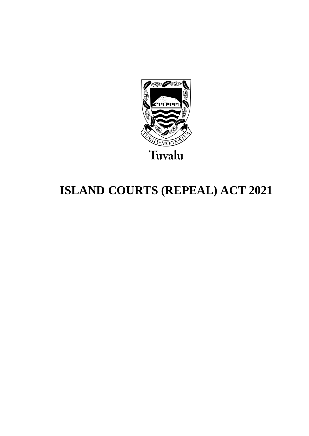

# **ISLAND COURTS (REPEAL) ACT 2021**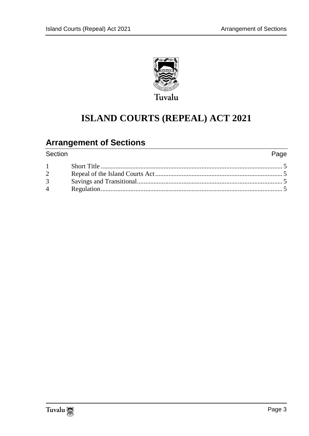

## **ISLAND COURTS (REPEAL) ACT 2021**

### **Arrangement of Sections**

| Section                | Page |
|------------------------|------|
| $1 \quad \blacksquare$ |      |
| $\overline{2}$         |      |
| $\overline{3}$         |      |
| $\overline{4}$         |      |
|                        |      |